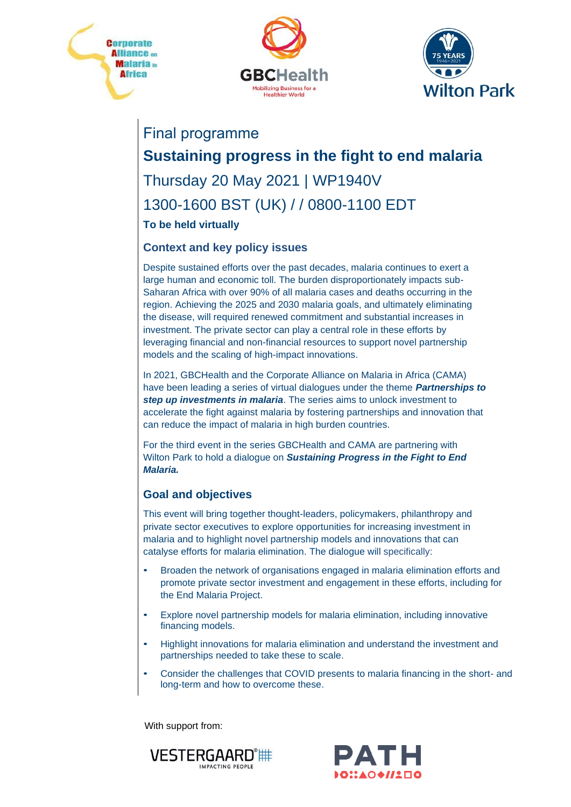





## Final programme

## **Sustaining progress in the fight to end malaria**

# Thursday 20 May 2021 | WP1940V 1300-1600 BST (UK) / / 0800-1100 EDT

#### **To be held virtually**

#### **Context and key policy issues**

Despite sustained efforts over the past decades, malaria continues to exert a large human and economic toll. The burden disproportionately impacts sub-Saharan Africa with over 90% of all malaria cases and deaths occurring in the region. Achieving the 2025 and 2030 malaria goals, and ultimately eliminating the disease, will required renewed commitment and substantial increases in investment. The private sector can play a central role in these efforts by leveraging financial and non-financial resources to support novel partnership models and the scaling of high-impact innovations.

In 2021, GBCHealth and the Corporate Alliance on Malaria in Africa (CAMA) have been leading a series of virtual dialogues under the theme *Partnerships to step up investments in malaria*. The series aims to unlock investment to accelerate the fight against malaria by fostering partnerships and innovation that can reduce the impact of malaria in high burden countries.

For the third event in the series GBCHealth and CAMA are partnering with Wilton Park to hold a dialogue on *Sustaining Progress in the Fight to End Malaria.* 

#### **Goal and objectives**

This event will bring together thought-leaders, policymakers, philanthropy and private sector executives to explore opportunities for increasing investment in malaria and to highlight novel partnership models and innovations that can catalyse efforts for malaria elimination. The dialogue will specifically:

- Broaden the network of organisations engaged in malaria elimination efforts and promote private sector investment and engagement in these efforts, including for the End Malaria Project.
- Explore novel partnership models for malaria elimination, including innovative financing models.
- Highlight innovations for malaria elimination and understand the investment and partnerships needed to take these to scale.
- Consider the challenges that COVID presents to malaria financing in the short- and long-term and how to overcome these.

With support from:



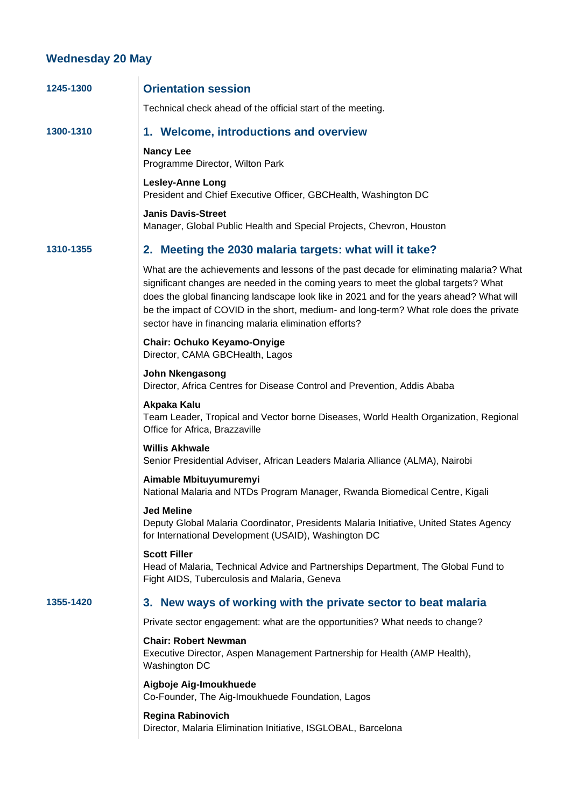### **Wednesday 20 May**

| 1245-1300 | <b>Orientation session</b>                                                                                                                                                                                                                                                                                                                                                                                                   |
|-----------|------------------------------------------------------------------------------------------------------------------------------------------------------------------------------------------------------------------------------------------------------------------------------------------------------------------------------------------------------------------------------------------------------------------------------|
|           | Technical check ahead of the official start of the meeting.                                                                                                                                                                                                                                                                                                                                                                  |
| 1300-1310 | 1. Welcome, introductions and overview                                                                                                                                                                                                                                                                                                                                                                                       |
|           | <b>Nancy Lee</b><br>Programme Director, Wilton Park                                                                                                                                                                                                                                                                                                                                                                          |
|           | <b>Lesley-Anne Long</b><br>President and Chief Executive Officer, GBCHealth, Washington DC                                                                                                                                                                                                                                                                                                                                   |
|           | <b>Janis Davis-Street</b><br>Manager, Global Public Health and Special Projects, Chevron, Houston                                                                                                                                                                                                                                                                                                                            |
| 1310-1355 | 2. Meeting the 2030 malaria targets: what will it take?                                                                                                                                                                                                                                                                                                                                                                      |
|           | What are the achievements and lessons of the past decade for eliminating malaria? What<br>significant changes are needed in the coming years to meet the global targets? What<br>does the global financing landscape look like in 2021 and for the years ahead? What will<br>be the impact of COVID in the short, medium- and long-term? What role does the private<br>sector have in financing malaria elimination efforts? |
|           | Chair: Ochuko Keyamo-Onyige<br>Director, CAMA GBCHealth, Lagos                                                                                                                                                                                                                                                                                                                                                               |
|           | John Nkengasong<br>Director, Africa Centres for Disease Control and Prevention, Addis Ababa                                                                                                                                                                                                                                                                                                                                  |
|           | Akpaka Kalu<br>Team Leader, Tropical and Vector borne Diseases, World Health Organization, Regional<br>Office for Africa, Brazzaville                                                                                                                                                                                                                                                                                        |
|           | <b>Willis Akhwale</b><br>Senior Presidential Adviser, African Leaders Malaria Alliance (ALMA), Nairobi                                                                                                                                                                                                                                                                                                                       |
|           | Aimable Mbituyumuremyi<br>National Malaria and NTDs Program Manager, Rwanda Biomedical Centre, Kigali                                                                                                                                                                                                                                                                                                                        |
|           | <b>Jed Meline</b><br>Deputy Global Malaria Coordinator, Presidents Malaria Initiative, United States Agency<br>for International Development (USAID), Washington DC                                                                                                                                                                                                                                                          |
|           | <b>Scott Filler</b><br>Head of Malaria, Technical Advice and Partnerships Department, The Global Fund to<br>Fight AIDS, Tuberculosis and Malaria, Geneva                                                                                                                                                                                                                                                                     |
| 1355-1420 | 3. New ways of working with the private sector to beat malaria                                                                                                                                                                                                                                                                                                                                                               |
|           | Private sector engagement: what are the opportunities? What needs to change?                                                                                                                                                                                                                                                                                                                                                 |
|           | <b>Chair: Robert Newman</b><br>Executive Director, Aspen Management Partnership for Health (AMP Health),<br>Washington DC                                                                                                                                                                                                                                                                                                    |
|           | Aigboje Aig-Imoukhuede<br>Co-Founder, The Aig-Imoukhuede Foundation, Lagos                                                                                                                                                                                                                                                                                                                                                   |
|           | <b>Regina Rabinovich</b><br>Director, Malaria Elimination Initiative, ISGLOBAL, Barcelona                                                                                                                                                                                                                                                                                                                                    |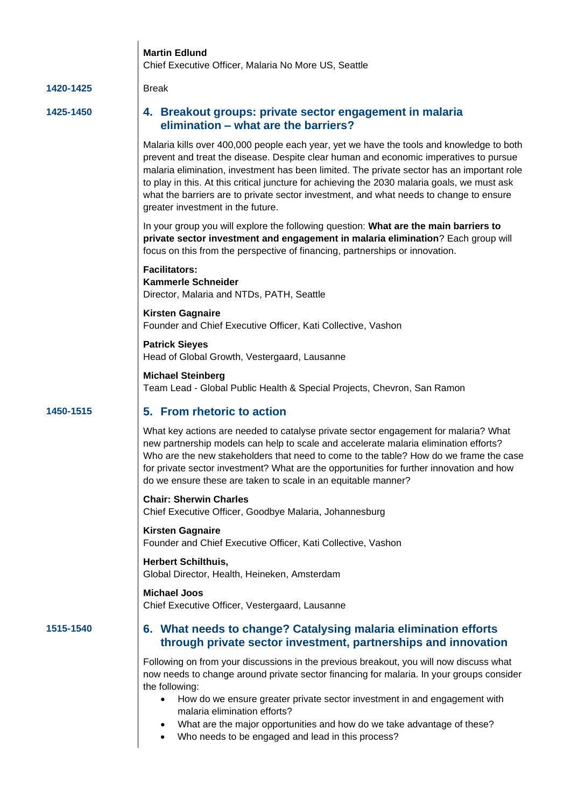|           | <b>Martin Edlund</b><br>Chief Executive Officer, Malaria No More US, Seattle                                                                                                                                                                                                                                                                                                                                                                                                                                   |
|-----------|----------------------------------------------------------------------------------------------------------------------------------------------------------------------------------------------------------------------------------------------------------------------------------------------------------------------------------------------------------------------------------------------------------------------------------------------------------------------------------------------------------------|
| 1420-1425 | <b>Break</b>                                                                                                                                                                                                                                                                                                                                                                                                                                                                                                   |
| 1425-1450 | 4. Breakout groups: private sector engagement in malaria<br>elimination - what are the barriers?                                                                                                                                                                                                                                                                                                                                                                                                               |
|           | Malaria kills over 400,000 people each year, yet we have the tools and knowledge to both<br>prevent and treat the disease. Despite clear human and economic imperatives to pursue<br>malaria elimination, investment has been limited. The private sector has an important role<br>to play in this. At this critical juncture for achieving the 2030 malaria goals, we must ask<br>what the barriers are to private sector investment, and what needs to change to ensure<br>greater investment in the future. |
|           | In your group you will explore the following question: What are the main barriers to<br>private sector investment and engagement in malaria elimination? Each group will<br>focus on this from the perspective of financing, partnerships or innovation.                                                                                                                                                                                                                                                       |
|           | <b>Facilitators:</b><br><b>Kammerle Schneider</b><br>Director, Malaria and NTDs, PATH, Seattle                                                                                                                                                                                                                                                                                                                                                                                                                 |
|           | <b>Kirsten Gagnaire</b><br>Founder and Chief Executive Officer, Kati Collective, Vashon                                                                                                                                                                                                                                                                                                                                                                                                                        |
|           | <b>Patrick Sieyes</b><br>Head of Global Growth, Vestergaard, Lausanne                                                                                                                                                                                                                                                                                                                                                                                                                                          |
|           | <b>Michael Steinberg</b><br>Team Lead - Global Public Health & Special Projects, Chevron, San Ramon                                                                                                                                                                                                                                                                                                                                                                                                            |
| 1450-1515 | 5. From rhetoric to action                                                                                                                                                                                                                                                                                                                                                                                                                                                                                     |
|           | What key actions are needed to catalyse private sector engagement for malaria? What<br>new partnership models can help to scale and accelerate malaria elimination efforts?<br>Who are the new stakeholders that need to come to the table? How do we frame the case<br>for private sector investment? What are the opportunities for further innovation and how<br>do we ensure these are taken to scale in an equitable manner?                                                                              |
|           | <b>Chair: Sherwin Charles</b><br>Chief Executive Officer, Goodbye Malaria, Johannesburg                                                                                                                                                                                                                                                                                                                                                                                                                        |
|           | <b>Kirsten Gagnaire</b><br>Founder and Chief Executive Officer, Kati Collective, Vashon                                                                                                                                                                                                                                                                                                                                                                                                                        |
|           | <b>Herbert Schilthuis,</b><br>Global Director, Health, Heineken, Amsterdam                                                                                                                                                                                                                                                                                                                                                                                                                                     |
|           | <b>Michael Joos</b><br>Chief Executive Officer, Vestergaard, Lausanne                                                                                                                                                                                                                                                                                                                                                                                                                                          |
| 1515-1540 | 6. What needs to change? Catalysing malaria elimination efforts<br>through private sector investment, partnerships and innovation                                                                                                                                                                                                                                                                                                                                                                              |
|           | Following on from your discussions in the previous breakout, you will now discuss what<br>now needs to change around private sector financing for malaria. In your groups consider<br>the following:<br>How do we ensure greater private sector investment in and engagement with<br>٠<br>malaria elimination efforts?<br>What are the major opportunities and how do we take advantage of these?<br>$\bullet$<br>Who needs to be engaged and lead in this process?<br>$\bullet$                               |